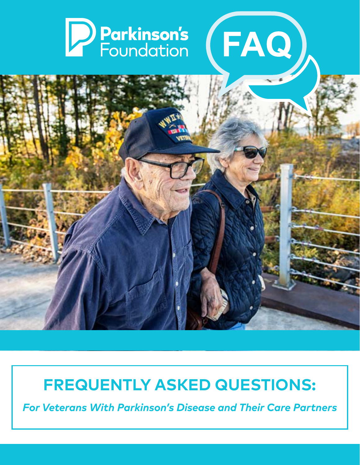# PParkinson's (FAQ)



# **FREQUENTLY ASKED QUESTIONS:**

*For Veterans With Parkinson's Disease and Their Care Partners*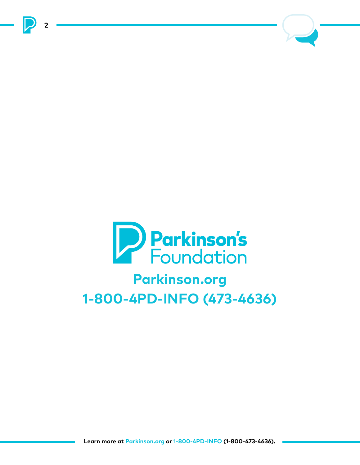



**2**

# **Parkinson.org 1-800-4PD-INFO (473-4636)**

**Learn more at Parkinson.org or 1-800-4PD-INFO (1-800-473-4636).**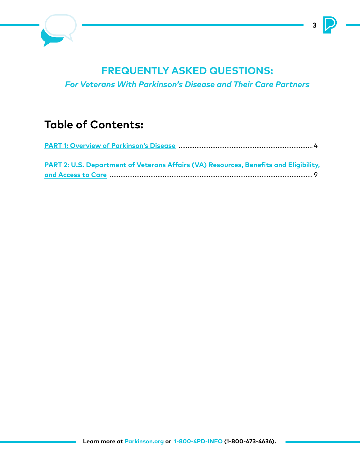

## **FREQUENTLY ASKED QUESTIONS:**

*For Veterans With Parkinson's Disease and Their Care Partners*

## **Table of Contents:**

| PART 2: U.S. Department of Veterans Affairs (VA) Resources, Benefits and Eligibility, |  |
|---------------------------------------------------------------------------------------|--|
|                                                                                       |  |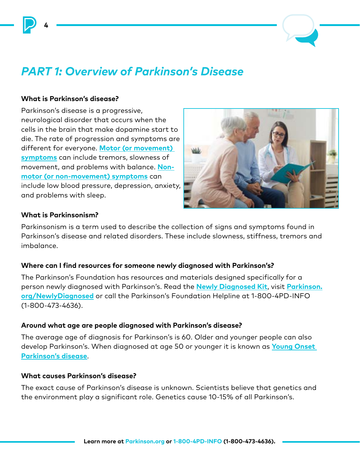

## *PART 1: Overview of Parkinson's Disease*

#### **What is Parkinson's disease?**

<span id="page-3-0"></span>**4**

Parkinson's disease is a progressive, neurological disorder that occurs when the cells in the brain that make dopamine start to die. The rate of progression and symptoms are different for everyone. **[Motor \(or movement\)](https://www.parkinson.org/Understanding-Parkinsons/Movement-Symptoms)  [symptoms](https://www.parkinson.org/Understanding-Parkinsons/Movement-Symptoms)** can include tremors, slowness of movement, and problems with balance. **[Non](https://www.parkinson.org/Understanding-Parkinsons/Non-Movement-Symptoms)[motor \(or non-movement\) symptoms](https://www.parkinson.org/Understanding-Parkinsons/Non-Movement-Symptoms)** can include low blood pressure, depression, anxiety, and problems with sleep.



#### **What is Parkinsonism?**

Parkinsonism is a term used to describe the collection of signs and symptoms found in Parkinson's disease and related disorders. These include slowness, stiffness, tremors and imbalance.

#### **Where can I find resources for someone newly diagnosed with Parkinson's?**

The Parkinson's Foundation has resources and materials designed specifically for a person newly diagnosed with Parkinson's. Read the **[Newly Diagnosed Kit](https://secure3.convio.net/prkorg/site/Ecommerce/616797764?VIEW_PRODUCT=true&product_id=1801&store_id=4003&_ga=2.67056430.169629558.1629143794-1430219483.1604061144)**, visit **[Parkinson.](http://www.Parkinson.org/NewlyDiagnosed) [org/NewlyDiagnosed](http://www.Parkinson.org/NewlyDiagnosed)** or call the Parkinson's Foundation Helpline at 1-800-4PD-INFO (1-800-473-4636).

#### **Around what age are people diagnosed with Parkinson's disease?**

The average age of diagnosis for Parkinson's is 60. Older and younger people can also develop Parkinson's. When diagnosed at age 50 or younger it is known as **[Young Onset](https://www.parkinson.org/Understanding-Parkinsons/What-is-Parkinsons/Young-Onset-Parkinsons)  [Parkinson's disease](https://www.parkinson.org/Understanding-Parkinsons/What-is-Parkinsons/Young-Onset-Parkinsons)**.

#### **What causes Parkinson's disease?**

The exact cause of Parkinson's disease is unknown. Scientists believe that genetics and the environment play a significant role. Genetics cause 10-15% of all Parkinson's.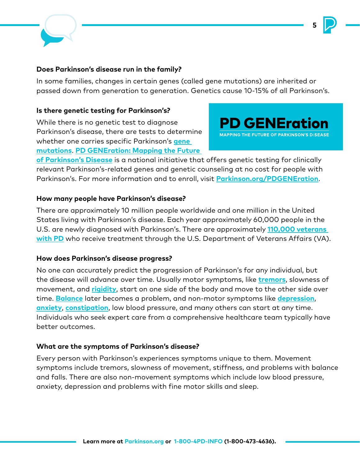

#### **Does Parkinson's disease run in the family?**

In some families, changes in certain genes (called gene mutations) are inherited or passed down from generation to generation. Genetics cause 10-15% of all Parkinson's.

#### **Is there genetic testing for Parkinson's?**

While there is no genetic test to diagnose Parkinson's disease, there are tests to determine whether one carries specific Parkinson's **[gene](https://www.parkinson.org/understanding-parkinsons/causes/genetics/common-genetic-mutations)  [mutations](https://www.parkinson.org/understanding-parkinsons/causes/genetics/common-genetic-mutations)**. **[PD GENEration: Mapping the Future](https://www.parkinson.org/PDGENEration)** 

**PD GENEration MAPPING THE FUTURE OF PARKINSON'S DISEASE** 

**5**

**[of Parkinson's Disease](https://www.parkinson.org/PDGENEration)** is a national initiative that offers genetic testing for clinically relevant Parkinson's-related genes and genetic counseling at no cost for people with Parkinson's. For more information and to enroll, visit **[Parkinson.org/PDGENEration](http://www.Parkinson.org/PDGENEration)**.

#### **How many people have Parkinson's disease?**

There are approximately 10 million people worldwide and one million in the United States living with Parkinson's disease. Each year approximately 60,000 people in the U.S. are newly diagnosed with Parkinson's. There are approximately **[110,000 veterans](http://www.parkinson.org/Veterans)  [with PD](http://www.parkinson.org/Veterans)** who receive treatment through the U.S. Department of Veterans Affairs (VA).

#### **How does Parkinson's disease progress?**

No one can accurately predict the progression of Parkinson's for any individual, but the disease will advance over time. Usually motor symptoms, like **[tremors](https://www.parkinson.org/Understanding-Parkinsons/Symptoms/Movement-Symptoms/Tremor)**, slowness of movement, and **[rigidity](https://www.parkinson.org/Understanding-Parkinsons/Symptoms/Movement-Symptoms/Rigidity-Stiffness)**, start on one side of the body and move to the other side over time. **[Balance](https://www.parkinson.org/blog/research/Walking-with-Parkinsons-Freezing-Balance-and-Falls)** later becomes a problem, and non-motor symptoms like **[depression](https://www.parkinson.org/Understanding-Parkinsons/Symptoms/Non-Movement-Symptoms/Depression)**, **[anxiety](https://www.parkinson.org/Understanding-Parkinsons/Symptoms/Non-Movement-Symptoms/Anxiety)**, **[constipation](https://www.parkinson.org/Understanding-Parkinsons/Symptoms/Non-Movement-Symptoms/Gastrointestinal-Issues)**, low blood pressure, and many others can start at any time. Individuals who seek expert care from a comprehensive healthcare team typically have better outcomes.

#### **What are the symptoms of Parkinson's disease?**

Every person with Parkinson's experiences symptoms unique to them. Movement symptoms include tremors, slowness of movement, stiffness, and problems with balance and falls. There are also non-movement symptoms which include low blood pressure, anxiety, depression and problems with fine motor skills and sleep.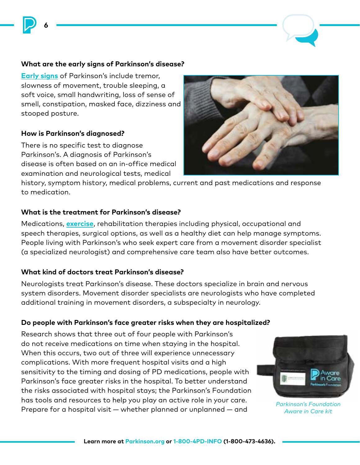#### **What are the early signs of Parkinson's disease?**

**[Early signs](https://www.parkinson.org/understanding-parkinsons/10-early-warning-signs?_ga=2.124813130.1373283270.1632147887-1916325966.1607963029)** of Parkinson's include tremor, slowness of movement, trouble sleeping, a soft voice, small handwriting, loss of sense of smell, constipation, masked face, dizziness and stooped posture.

#### **How is Parkinson's diagnosed?**

**6**

There is no specific test to diagnose Parkinson's. A diagnosis of Parkinson's disease is often based on an in-office medical examination and neurological tests, medical

history, symptom history, medical problems, current and past medications and response to medication.

#### **What is the treatment for Parkinson's disease?**

Medications, **[exercise](https://www.parkinson.org/Understanding-Parkinsons/Treatment/Exercise)**, rehabilitation therapies including physical, occupational and speech therapies, surgical options, as well as a healthy diet can help manage symptoms. People living with Parkinson's who seek expert care from a movement disorder specialist (a specialized neurologist) and comprehensive care team also have better outcomes.

#### **What kind of doctors treat Parkinson's disease?**

Neurologists treat Parkinson's disease. These doctors specialize in brain and nervous system disorders. Movement disorder specialists are neurologists who have completed additional training in movement disorders, a subspecialty in neurology.

#### **Do people with Parkinson's face greater risks when they are hospitalized?**

Research shows that three out of four people with Parkinson's do not receive medications on time when staying in the hospital. When this occurs, two out of three will experience unnecessary complications. With more frequent hospital visits and a high sensitivity to the timing and dosing of PD medications, people with Parkinson's face greater risks in the hospital. To better understand the risks associated with hospital stays; the Parkinson's Foundation has tools and resources to help you play an active role in your care. Prepare for a hospital visit — whether planned or unplanned — and



*Parkinson's Foundation Aware in Care kit*

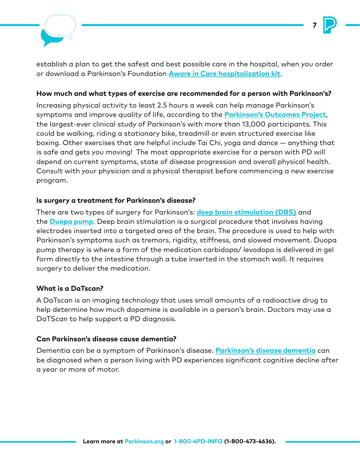

establish a plan to get the safest and best possible care in the hospital, when you order or download a Parkinson's Foundation **[Aware in Care hospitalization kit](https://www.parkinson.org/Living-with-Parkinsons/Resources-and-Support/Hospital-Kit)**.

**7**

#### **How much and what types of exercise are recommended for a person with Parkinson's?**

Increasing physical activity to least 2.5 hours a week can help manage Parkinson's symptoms and improve quality of life, according to the **[Parkinson's Outcomes Project](https://www.parkinson.org/research/Parkinsons-Outcomes-Project)**, the largest-ever clinical study of Parkinson's with more than 13,000 participants. This could be walking, riding a stationary bike, treadmill or even structured exercise like boxing. Other exercises that are helpful include Tai Chi, yoga and dance — anything that is safe and gets you moving! The most appropriate exercise for a person with PD will depend on current symptoms, state of disease progression and overall physical health. Consult with your physician and a physical therapist before commencing a new exercise program.

#### **Is surgery a treatment for Parkinson's disease?**

There are two types of surgery for Parkinson's: **[deep brain stimulation \(DBS\)](https://www.parkinson.org/Understanding-Parkinsons/Treatment/Surgical-Treatment-Options/Deep-Brain-Stimulation)** and the **[Duopa pump](https://www.parkinson.org/blog/tips/pd-and-medication-whats-new)**. Deep brain stimulation is a surgical procedure that involves having electrodes inserted into a targeted area of the brain. The procedure is used to help with Parkinson's symptoms such as tremors, rigidity, stiffness, and slowed movement. Duopa pump therapy is where a form of the medication carbidopa/ levodopa is delivered in gel form directly to the intestine through a tube inserted in the stomach wall. It requires surgery to deliver the medication.

#### **What is a DaTscan?**

A DaTscan is an imaging technology that uses small amounts of a radioactive drug to help determine how much dopamine is available in a person's brain. Doctors may use a DaTScan to help support a PD diagnosis.

#### **Can Parkinson's disease cause dementia?**

Dementia can be a symptom of Parkinson's disease. **[Parkinson's disease dementia](https://www.parkinson.org/Understanding-Parkinsons/Symptoms/Non-Movement-Symptoms/Dementia/Types-and-Symptoms)** can be diagnosed when a person living with PD experiences significant cognitive decline after a year or more of motor.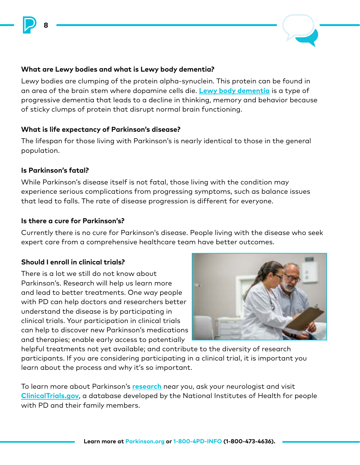

#### **What are Lewy bodies and what is Lewy body dementia?**

Lewy bodies are clumping of the protein alpha-synuclein. This protein can be found in an area of the brain stem where dopamine cells die. **[Lewy body dementia](https://www.parkinson.org/Understanding-Parkinsons/Symptoms/Non-Movement-Symptoms/Dementia/Types-and-Symptoms)** is a type of progressive dementia that leads to a decline in thinking, memory and behavior because of sticky clumps of protein that disrupt normal brain functioning.

#### **What is life expectancy of Parkinson's disease?**

The lifespan for those living with Parkinson's is nearly identical to those in the general population.

#### **Is Parkinson's fatal?**

**8**

While Parkinson's disease itself is not fatal, those living with the condition may experience serious complications from progressing symptoms, such as balance issues that lead to falls. The rate of disease progression is different for everyone.

#### **Is there a cure for Parkinson's?**

Currently there is no cure for Parkinson's disease. People living with the disease who seek expert care from a comprehensive healthcare team have better outcomes.

#### **Should I enroll in clinical trials?**

There is a lot we still do not know about Parkinson's. Research will help us learn more and lead to better treatments. One way people with PD can help doctors and researchers better understand the disease is by participating in clinical trials. Your participation in clinical trials can help to discover new Parkinson's medications and therapies; enable early access to potentially



helpful treatments not yet available; and contribute to the diversity of research participants. If you are considering participating in a clinical trial, it is important you learn about the process and why it's so important.

To learn more about Parkinson's **[research](https://www.parkinson.org/research)** near you, ask your neurologist and visit **[ClinicalTrials.gov](https://www.clinicaltrials.gov/)**, a database developed by the National Institutes of Health for people with PD and their family members.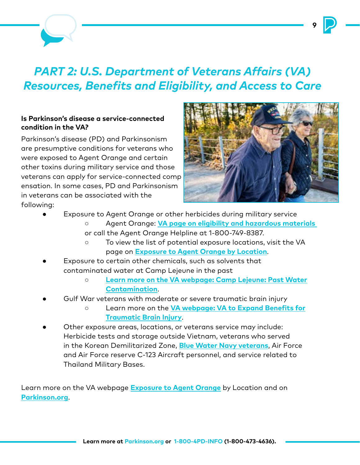## <span id="page-8-0"></span>*PART 2: U.S. Department of Veterans Affairs (VA) Resources, Benefits and Eligibility, and Access to Care*

#### **Is Parkinson's disease a service-connected condition in the VA?**

Parkinson's disease (PD) and Parkinsonism are presumptive conditions for veterans who were exposed to Agent Orange and certain other toxins during military service and those veterans can apply for service-connected comp ensation. In some cases, PD and Parkinsonism in veterans can be associated with the following:



- Exposure to Agent Orange or other herbicides during military service
	- ○ Agent Orange: **[VA page on eligibility and hazardous materials](https://www.va.gov/disability/eligibility/hazardous-materials-exposure/agent-orange/)**
	- or call the Agent Orange Helpline at 1-800-749-8387.
	- ○ To view the list of potential exposure locations, visit the VA page on **[Exposure to Agent Orange by Location](https://www.publichealth.va.gov/exposures/agentorange/locations/index.asp)**.
- Exposure to certain other chemicals, such as solvents that contaminated water at Camp Lejeune in the past
	- ○ **[Learn more on the VA webpage: Camp Lejeune: Past Water](https://www.publichealth.va.gov/exposures/camp-lejeune/) [Contamination](https://www.publichealth.va.gov/exposures/camp-lejeune/)**.
- Gulf War veterans with moderate or severe traumatic brain injury
	- ○ Learn more on the **[VA webpage: VA to Expand Benefits for](https://www.va.gov/healthbenefits/news/VA_to_Expand_Benefits_for_Traumatic_Brain_Injury.asp) [Traumatic Brain Injury](https://www.va.gov/healthbenefits/news/VA_to_Expand_Benefits_for_Traumatic_Brain_Injury.asp)**.
- Other exposure areas, locations, or veterans service may include: Herbicide tests and storage outside Vietnam, veterans who served in the Korean Demilitarized Zone, **[Blue Water Navy veterans](https://www.va.gov/disability/eligibility/hazardous-materials-exposure/agent-orange/navy-coast-guard-ships-vietnam/)**, Air Force and Air Force reserve C-123 Aircraft personnel, and service related to Thailand Military Bases.

Learn more on the VA webpage **[Exposure to Agent Orange](https://www.va.gov/disability/eligibility/hazardous-materials-exposure/agent-orange/navy-coast-guard-ships-vietnam/)** by Location and on **[Parkinson.org](https://www.parkinson.org/Living-with-Parkinsons/Managing-Parkinsons/Veterans/PD-Agent-Orange)**.

**9**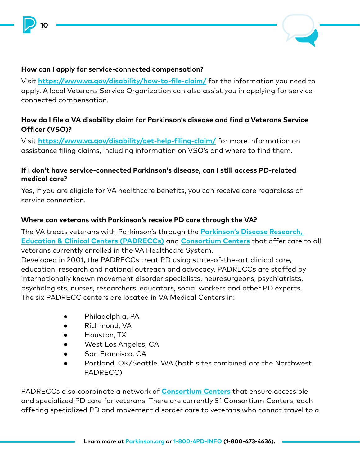

#### **How can I apply for service-connected compensation?**

**10**

Visit **<https://www.va.gov/disability/how-to-file-claim/>** for the information you need to apply. A local Veterans Service Organization can also assist you in applying for serviceconnected compensation.

#### **How do I file a VA disability claim for Parkinson's disease and find a Veterans Service Officer (VSO)?**

Visit **<https://www.va.gov/disability/get-help-filing-claim/>** for more information on assistance filing claims, including information on VSO's and where to find them.

#### **If I don't have service-connected Parkinson's disease, can I still access PD-related medical care?**

Yes, if you are eligible for VA healthcare benefits, you can receive care regardless of service connection.

#### **Where can veterans with Parkinson's receive PD care through the VA?**

The VA treats veterans with Parkinson's through the **[Parkinson's Disease Research,](https://www.parkinsons.va.gov/)  [Education & Clinical Centers \(PADRECCs\)](https://www.parkinsons.va.gov/)** and **[Consortium Centers](https://www.parkinsons.va.gov/Consortium/index.asp)** that offer care to all veterans currently enrolled in the VA Healthcare System.

Developed in 2001, the PADRECCs treat PD using state-of-the-art clinical care, education, research and national outreach and advocacy. PADRECCs are staffed by internationally known movement disorder specialists, neurosurgeons, psychiatrists, psychologists, nurses, researchers, educators, social workers and other PD experts. The six PADRECC centers are located in VA Medical Centers in:

- Philadelphia, PA
- Richmond, VA
- Houston, TX
- West Los Angeles, CA
- San Francisco, CA
- Portland, OR/Seattle, WA (both sites combined are the Northwest PADRECC)

PADRECCs also coordinate a network of **[Consortium Centers](https://www.parkinsons.va.gov/Consortium/index.asp)** that ensure accessible and specialized PD care for veterans. There are currently 51 Consortium Centers, each offering specialized PD and movement disorder care to veterans who cannot travel to a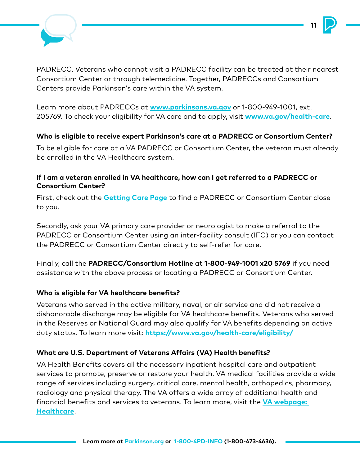

PADRECC. Veterans who cannot visit a PADRECC facility can be treated at their nearest Consortium Center or through telemedicine. Together, PADRECCs and Consortium Centers provide Parkinson's care within the VA system.

**11**

Learn more about PADRECCs at **[www.parkinsons.va.gov](http://www.parkinsons.va.gov/)** or 1-800-949-1001, ext. 205769. To check your eligibility for VA care and to apply, visit **[www.va.gov/health-care](http://www.va.gov/health-care)**.

#### **Who is eligible to receive expert Parkinson's care at a PADRECC or Consortium Center?**

To be eligible for care at a VA PADRECC or Consortium Center, the veteran must already be enrolled in the VA Healthcare system.

#### **If I am a veteran enrolled in VA healthcare, how can I get referred to a PADRECC or Consortium Center?**

First, check out the **[Getting Care Page](https://www.parkinsons.va.gov/care.asp)** to find a PADRECC or Consortium Center close to you.

Secondly, ask your VA primary care provider or neurologist to make a referral to the PADRECC or Consortium Center using an inter-facility consult (IFC) or you can contact the PADRECC or Consortium Center directly to self-refer for care.

Finally, call the **PADRECC/Consortium Hotline** at **1-800-949-1001 x20 5769** if you need assistance with the above process or locating a PADRECC or Consortium Center.

#### **Who is eligible for VA healthcare benefits?**

Veterans who served in the active military, naval, or air service and did not receive a dishonorable discharge may be eligible for VA healthcare benefits. Veterans who served in the Reserves or National Guard may also qualify for VA benefits depending on active duty status. To learn more visit: **<https://www.va.gov/health-care/eligibility/>**

#### **What are U.S. Department of Veterans Affairs (VA) Health benefits?**

VA Health Benefits covers all the necessary inpatient hospital care and outpatient services to promote, preserve or restore your health. VA medical facilities provide a wide range of services including surgery, critical care, mental health, orthopedics, pharmacy, radiology and physical therapy. The VA offers a wide array of additional health and financial benefits and services to veterans. To learn more, visit the **[VA webpage:](https://www.va.gov/opa/persona/index.asp)  [Healthcare](https://www.va.gov/opa/persona/index.asp)**.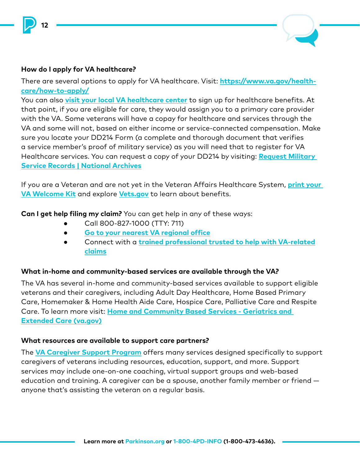

#### **How do I apply for VA healthcare?**

**12**

There are several options to apply for VA healthcare. Visit: **[https://www.va.gov/health](https://www.va.gov/health-care/how-to-apply/)[care/how-to-apply/](https://www.va.gov/health-care/how-to-apply/)**

You can also **[visit your local VA healthcare center](https://www.va.gov/find-locations/)** to sign up for healthcare benefits. At that point, if you are eligible for care, they would assign you to a primary care provider with the VA. Some veterans will have a copay for healthcare and services through the VA and some will not, based on either income or service-connected compensation. Make sure you locate your DD214 Form (a complete and thorough document that verifies a service member's proof of military service) as you will need that to register for VA Healthcare services. You can request a copy of your DD214 by visiting: **[Request Military](https://www.archives.gov/veterans/military-service-records)  [Service Records | National Archives](https://www.archives.gov/veterans/military-service-records)**

If you are a Veteran and are not yet in the Veteran Affairs Healthcare System, **[print your](https://www.va.gov/welcome-kit/)  [VA Welcome Kit](https://www.va.gov/welcome-kit/)** and explore **[Vets.gov](http://www.Vets.gov)** to learn about benefits.

**Can I get help filing my claim?** You can get help in any of these ways:

- ● Call 800-827-1000 (TTY: 711)
- ● **[Go to your nearest VA regional office](https://www.va.gov/find-locations/)**
- Connect with a *[trained professional trusted to help with VA-related](https://www.va.gov/disability/get-help-filing-claim)* **claims**

#### **What in-home and community-based services are available through the VA?**

The VA has several in-home and community-based services available to support eligible veterans and their caregivers, including Adult Day Healthcare, Home Based Primary Care, Homemaker & Home Health Aide Care, Hospice Care, Palliative Care and Respite Care. To learn more visit: **[Home and Community Based Services - Geriatrics and](https://www.va.gov/GERIATRICS/pages/Home_and_Community_Based_Services.asp)  [Extended Care](https://www.va.gov/GERIATRICS/pages/Home_and_Community_Based_Services.asp) (va.gov)**

#### **What resources are available to support care partners?**

The **[VA Caregiver Support Program](https://www.caregiver.va.gov/)** offers many services designed specifically to support caregivers of veterans including resources, education, support, and more. Support services may include one-on-one coaching, virtual support groups and web-based education and training. A caregiver can be a spouse, another family member or friend anyone that's assisting the veteran on a regular basis.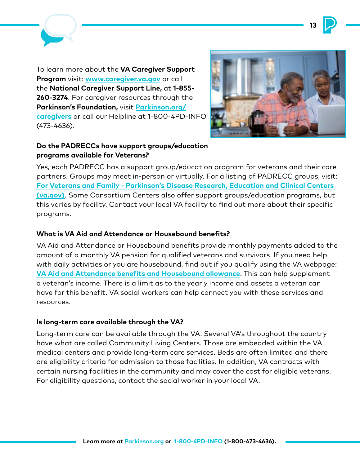



To learn more about the **VA Caregiver Support Program** visit: **[www.caregiver.va.gov](http://www.caregiver.va.gov/)** or call the **National Caregiver Support Line,** at **1-855- 260-3274**. For caregiver resources through the **Parkinson's Foundation,** visit **[Parkinson.org/](http://www.parkinson.org/caregivers) [caregivers](http://www.parkinson.org/caregivers)** or call our Helpline at 1-800-4PD-INFO (473-4636).



#### **Do the PADRECCs have support groups/education programs available for Veterans?**

Yes, each PADRECC has a support group/education program for veterans and their care partners. Groups may meet in-person or virtually. For a listing of PADRECC groups, visit: **[For Veterans and Family - Parkinson's Disease Research, Education and Clinical Centers](https://www.parkinsons.va.gov/patients.asp)  [\(va.gov\)](https://www.parkinsons.va.gov/patients.asp)**. Some Consortium Centers also offer support groups/education programs, but this varies by facility. Contact your local VA facility to find out more about their specific programs.

#### **What is VA Aid and Attendance or Housebound benefits?**

VA Aid and Attendance or Housebound benefits provide monthly payments added to the amount of a monthly VA pension for qualified veterans and survivors. If you need help with daily activities or you are housebound, find out if you qualify using the VA webpage: **[VA Aid and Attendance benefits and Housebound allowance](https://www.va.gov/pension/aid-attendance-housebound/)**. This can help supplement a veteran's income. There is a limit as to the yearly income and assets a veteran can have for this benefit. VA social workers can help connect you with these services and resources.

#### **Is long-term care available through the VA?**

Long-term care can be available through the VA. Several VA's throughout the country have what are called Community Living Centers. Those are embedded within the VA medical centers and provide long-term care services. Beds are often limited and there are eligibility criteria for admission to those facilities. In addition, VA contracts with certain nursing facilities in the community and may cover the cost for eligible veterans. For eligibility questions, contact the social worker in your local VA.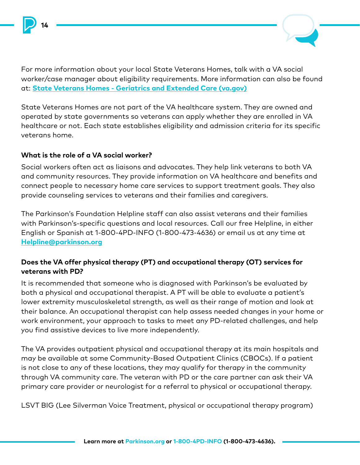



For more information about your local State Veterans Homes, talk with a VA social worker/case manager about eligibility requirements. More information can also be found at: **[State Veterans Homes - Geriatrics and Extended Care \(va.gov\)](https://www.va.gov/GERIATRICS/pages/State_Veterans_Homes.asp)**

State Veterans Homes are not part of the VA healthcare system. They are owned and operated by state governments so veterans can apply whether they are enrolled in VA healthcare or not. Each state establishes eligibility and admission criteria for its specific veterans home.

#### **What is the role of a VA social worker?**

Social workers often act as liaisons and advocates. They help link veterans to both VA and community resources. They provide information on VA healthcare and benefits and connect people to necessary home care services to support treatment goals. They also provide counseling services to veterans and their families and caregivers.

The Parkinson's Foundation Helpline staff can also assist veterans and their families with Parkinson's-specific questions and local resources. Call our free Helpline, in either English or Spanish at 1-800-4PD-INFO (1-800-473-4636) or email us at any time at **[Helpline@parkinson.org](mailto:Helpline@parkinson.org)**

#### **Does the VA offer physical therapy (PT) and occupational therapy (OT) services for veterans with PD?**

It is recommended that someone who is diagnosed with Parkinson's be evaluated by both a physical and occupational therapist. A PT will be able to evaluate a patient's lower extremity musculoskeletal strength, as well as their range of motion and look at their balance. An occupational therapist can help assess needed changes in your home or work environment, your approach to tasks to meet any PD-related challenges, and help you find assistive devices to live more independently.

The VA provides outpatient physical and occupational therapy at its main hospitals and may be available at some Community-Based Outpatient Clinics (CBOCs). If a patient is not close to any of these locations, they may qualify for therapy in the community through VA community care. The veteran with PD or the care partner can ask their VA primary care provider or neurologist for a referral to physical or occupational therapy.

LSVT BIG (Lee Silverman Voice Treatment, physical or occupational therapy program)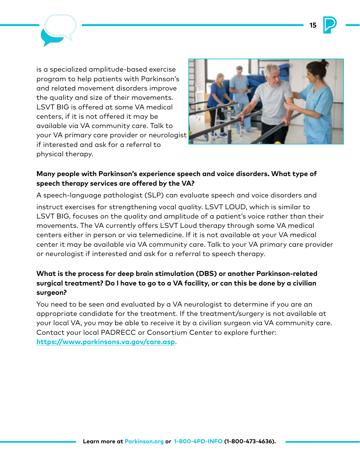**15**



is a specialized amplitude-based exercise program to help patients with Parkinson's and related movement disorders improve the quality and size of their movements. LSVT BIG is offered at some VA medical centers, if it is not offered it may be available via VA community care. Talk to your VA primary care provider or neurologist if interested and ask for a referral to physical therapy.



#### **Many people with Parkinson's experience speech and voice disorders. What type of speech therapy services are offered by the VA?**

A speech-language pathologist (SLP) can evaluate speech and voice disorders and instruct exercises for strengthening vocal quality. LSVT LOUD, which is similar to LSVT BIG, focuses on the quality and amplitude of a patient's voice rather than their movements. The VA currently offers LSVT Loud therapy through some VA medical centers either in person or via telemedicine. If it is not available at your VA medical center it may be available via VA community care. Talk to your VA primary care provider or neurologist if interested and ask for a referral to speech therapy.

#### **What is the process for deep brain stimulation (DBS) or another Parkinson-related surgical treatment? Do I have to go to a VA facility, or can this be done by a civilian surgeon?**

You need to be seen and evaluated by a VA neurologist to determine if you are an appropriate candidate for the treatment. If the treatment/surgery is not available at your local VA, you may be able to receive it by a civilian surgeon via VA community care. Contact your local PADRECC or Consortium Center to explore further: **<https://www.parkinsons.va.gov/care.asp>**.